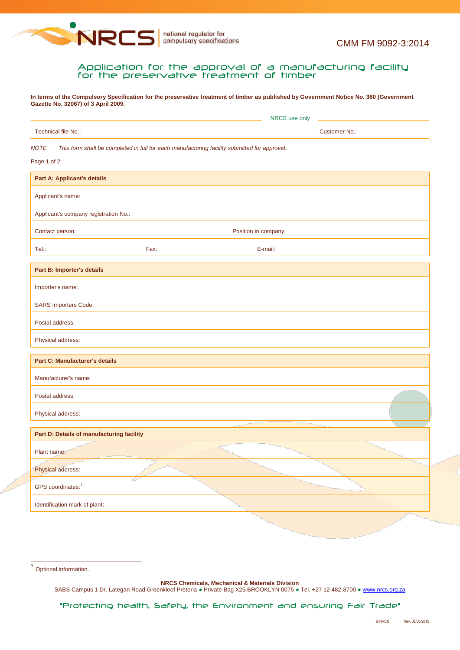

## Application for the approval of a manufacturing facility for the preservative treatment of timber

**In terms of the Compulsory Specification for the preservative treatment of timber as published by Government Notice No. 380 (Government Gazette No. 32067) of 3 April 2009.**

| Technical file No.:<br><b>Customer No.:</b><br>This form shall be completed in full for each manufacturing facility submitted for approval.<br><b>Part A: Applicant's details</b><br>Applicant's name:<br>Applicant's company registration No.:<br>Contact person:<br>Position in company:<br>Tel.:<br>Fax:<br>E-mail:<br>Part B: Importer's details<br>Importer's name:<br><b>SARS Importers Code:</b><br>Postal address:<br>Physical address:<br><b>Part C: Manufacturer's details</b><br>Manufacturer's name:<br>Postal address:<br>Physical address:<br>Part D: Details of manufacturing facility<br>Plant name:<br>Physical address:<br>GPS coordinates: <sup>1</sup><br>Identification mark of plant: |                            | NRCS use only |  |  |  |  |  |
|-------------------------------------------------------------------------------------------------------------------------------------------------------------------------------------------------------------------------------------------------------------------------------------------------------------------------------------------------------------------------------------------------------------------------------------------------------------------------------------------------------------------------------------------------------------------------------------------------------------------------------------------------------------------------------------------------------------|----------------------------|---------------|--|--|--|--|--|
|                                                                                                                                                                                                                                                                                                                                                                                                                                                                                                                                                                                                                                                                                                             |                            |               |  |  |  |  |  |
|                                                                                                                                                                                                                                                                                                                                                                                                                                                                                                                                                                                                                                                                                                             | <b>NOTE</b><br>Page 1 of 2 |               |  |  |  |  |  |
|                                                                                                                                                                                                                                                                                                                                                                                                                                                                                                                                                                                                                                                                                                             |                            |               |  |  |  |  |  |
|                                                                                                                                                                                                                                                                                                                                                                                                                                                                                                                                                                                                                                                                                                             |                            |               |  |  |  |  |  |
|                                                                                                                                                                                                                                                                                                                                                                                                                                                                                                                                                                                                                                                                                                             |                            |               |  |  |  |  |  |
|                                                                                                                                                                                                                                                                                                                                                                                                                                                                                                                                                                                                                                                                                                             |                            |               |  |  |  |  |  |
|                                                                                                                                                                                                                                                                                                                                                                                                                                                                                                                                                                                                                                                                                                             |                            |               |  |  |  |  |  |
|                                                                                                                                                                                                                                                                                                                                                                                                                                                                                                                                                                                                                                                                                                             |                            |               |  |  |  |  |  |
|                                                                                                                                                                                                                                                                                                                                                                                                                                                                                                                                                                                                                                                                                                             |                            |               |  |  |  |  |  |
|                                                                                                                                                                                                                                                                                                                                                                                                                                                                                                                                                                                                                                                                                                             |                            |               |  |  |  |  |  |
|                                                                                                                                                                                                                                                                                                                                                                                                                                                                                                                                                                                                                                                                                                             |                            |               |  |  |  |  |  |
|                                                                                                                                                                                                                                                                                                                                                                                                                                                                                                                                                                                                                                                                                                             |                            |               |  |  |  |  |  |
|                                                                                                                                                                                                                                                                                                                                                                                                                                                                                                                                                                                                                                                                                                             |                            |               |  |  |  |  |  |
|                                                                                                                                                                                                                                                                                                                                                                                                                                                                                                                                                                                                                                                                                                             |                            |               |  |  |  |  |  |
|                                                                                                                                                                                                                                                                                                                                                                                                                                                                                                                                                                                                                                                                                                             |                            |               |  |  |  |  |  |
|                                                                                                                                                                                                                                                                                                                                                                                                                                                                                                                                                                                                                                                                                                             |                            |               |  |  |  |  |  |
|                                                                                                                                                                                                                                                                                                                                                                                                                                                                                                                                                                                                                                                                                                             |                            |               |  |  |  |  |  |
|                                                                                                                                                                                                                                                                                                                                                                                                                                                                                                                                                                                                                                                                                                             |                            |               |  |  |  |  |  |
|                                                                                                                                                                                                                                                                                                                                                                                                                                                                                                                                                                                                                                                                                                             |                            |               |  |  |  |  |  |
|                                                                                                                                                                                                                                                                                                                                                                                                                                                                                                                                                                                                                                                                                                             |                            |               |  |  |  |  |  |
|                                                                                                                                                                                                                                                                                                                                                                                                                                                                                                                                                                                                                                                                                                             |                            |               |  |  |  |  |  |

1 Optional information.

**NRCS Chemicals, Mechanical & Materials Division**

SABS Campus 1 Dr. Lategan Road Groenkloof Pretoria · Private Bag X25 BROOKLYN 0075 · Tel. +27 12 482-8700 · www.nrcs.org.za

"Protecting health, Safety, the Environment and ensuring Fair Trade"